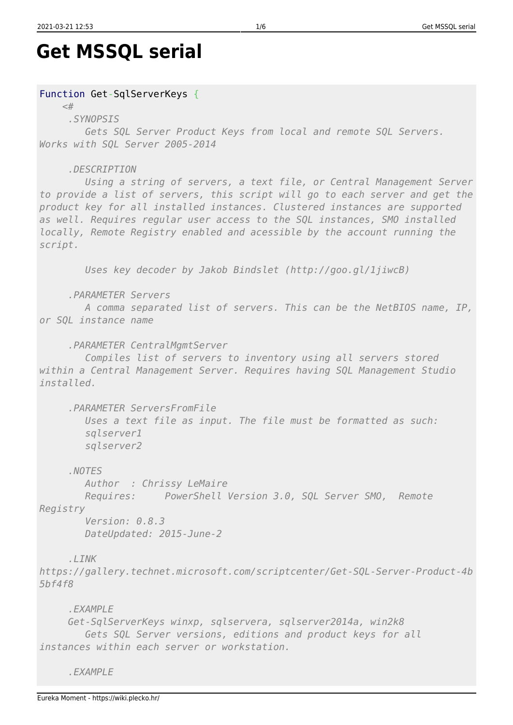```
Get MSSQL serial
```
## Function Get-SqlServerKeys {

## *<#*

 *.SYNOPSIS*

 *Gets SQL Server Product Keys from local and remote SQL Servers. Works with SQL Server 2005-2014*

## *.DESCRIPTION*

 *Using a string of servers, a text file, or Central Management Server to provide a list of servers, this script will go to each server and get the product key for all installed instances. Clustered instances are supported as well. Requires regular user access to the SQL instances, SMO installed locally, Remote Registry enabled and acessible by the account running the script.*

 *Uses key decoder by Jakob Bindslet (http://goo.gl/1jiwcB)*

 *.PARAMETER Servers*

 *A comma separated list of servers. This can be the NetBIOS name, IP, or SQL instance name*

 *.PARAMETER CentralMgmtServer*

 *Compiles list of servers to inventory using all servers stored within a Central Management Server. Requires having SQL Management Studio installed.*

 *.PARAMETER ServersFromFile*

 *Uses a text file as input. The file must be formatted as such: sqlserver1 sqlserver2*

 *.NOTES*

 *Author : Chrissy LeMaire*

 *Requires: PowerShell Version 3.0, SQL Server SMO, Remote*

*Registry*

 *Version: 0.8.3 DateUpdated: 2015-June-2*

 *.LINK*

*https://gallery.technet.microsoft.com/scriptcenter/Get-SQL-Server-Product-4b 5bf4f8*

 *.EXAMPLE*

 *Get-SqlServerKeys winxp, sqlservera, sqlserver2014a, win2k8 Gets SQL Server versions, editions and product keys for all instances within each server or workstation.*

 *.EXAMPLE*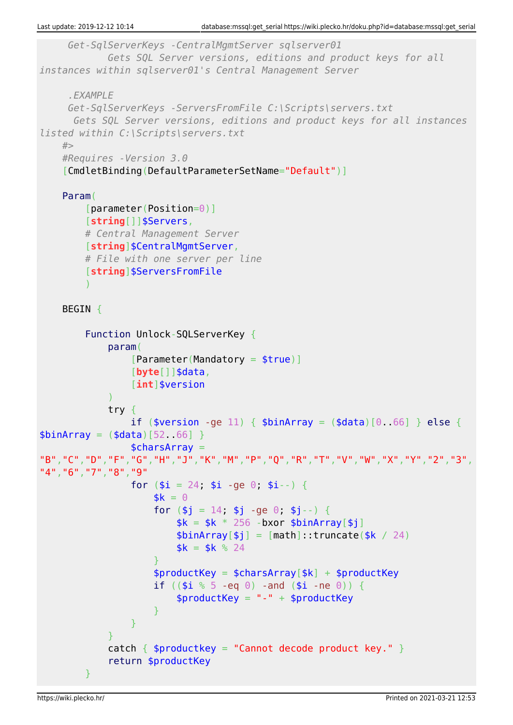```
 Get-SqlServerKeys -CentralMgmtServer sqlserver01
                Gets SQL Server versions, editions and product keys for all
instances within sqlserver01's Central Management Server
       .EXAMPLE
       Get-SqlServerKeys -ServersFromFile C:\Scripts\servers.txt
        Gets SQL Server versions, editions and product keys for all instances
listed within C:\Scripts\servers.txt
     #>
     #Requires -Version 3.0
      [CmdletBinding(DefaultParameterSetName="Default")]
     Param(
           [parameter(Position=0)]
           [string[]]$Servers,
          # Central Management Server
           [string]$CentralMgmtServer,
          # File with one server per line
           [string]$ServersFromFile
\sim ) and \sim 100 \sim 100 \sim BEGIN {
           Function Unlock-SQLServerKey {
                param(
                    [Parameter (Mandatory = <i>strue</i>)] [byte[]]$data,
                     [int]$version
) and the state \mathcal{L}(\mathcal{A}) try {
                    if ($version -ge 11) { $binArray = (6data)[0.66] } else {
$binArray = ($data) [52 66] $charsArray =
"B","C","D","F","G","H","J","K","M","P","Q","R","T","V","W","X","Y","2","3",
"4","6","7","8","9"
                    for (\$i = 24, \$i - q \neq 0, \$i - \neq 1)sk = 0for (\$j = 14, \$j -ge 0, \$j -) {
                              sk = sk * 256 - bxor \n    <i>shinArray[</i>$binArray[$j] = [math]::truncated$k / 24)$k = $k \; \text{\%} \; 24$denotes the control of the state of the state of the state of the state of the state of the state of the state
                         $productKey = $charsArray[$k] + $productKeyif ((\$i \, \degree \, 5 -eq \ 0) -and (\$i -ne \ 0)) {
                               $productKey = "-" + $productKey
denotes the control of the state of the state of the state of the state of the state of the state of the state
\{x_i\}_{i=1}^n , where \{x_i\}_{i=1}^n }
               catch \{ $productkey = "Cannot decode product key." }
                return $productKey
 }
```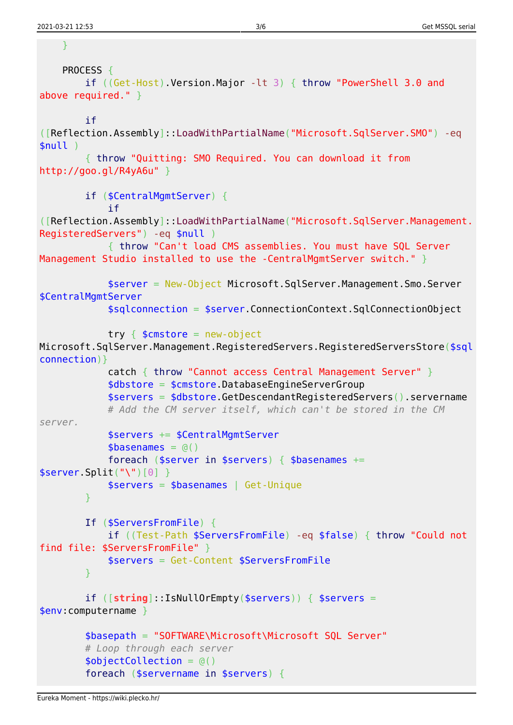```
 }
   PROCESS {
         if ((Get-Host).Version.Major -lt 3) { throw "PowerShell 3.0 and
above required." }
         if
([Reflection.Assembly]::LoadWithPartialName("Microsoft.SqlServer.SMO") -eq
$null )
         { throw "Quitting: SMO Required. You can download it from
http://goo.gl/R4yA6u" }
         if ($CentralMgmtServer) {
             if
([Reflection.Assembly]::LoadWithPartialName("Microsoft.SqlServer.Management.
RegisteredServers") -eq $null )
             { throw "Can't load CMS assemblies. You must have SQL Server
Management Studio installed to use the -CentralMgmtServer switch." }
             $server = New-Object Microsoft.SqlServer.Management.Smo.Server
$CentralMgmtServer
             $sqlconnection = $server.ConnectionContext.SqlConnectionObject
            try \{ $cmstore = new-object
Microsoft.SqlServer.Management.RegisteredServers.RegisteredServersStore($sql
connection)}
             catch { throw "Cannot access Central Management Server" }
             $dbstore = $cmstore.DatabaseEngineServerGroup
             $servers = $dbstore.GetDescendantRegisteredServers().servername
             # Add the CM server itself, which can't be stored in the CM
server.
             $servers += $CentralMgmtServer
            \text{ }$basenames = @()foreach ($server in $servers) { $basenames +=$server.Split("\")[0] }
             $servers = $basenames | Get-Unique
 }
         If ($ServersFromFile) {
             if ((Test-Path $ServersFromFile) -eq $false) { throw "Could not
find file: $ServersFromFile" }
             $servers = Get-Content $ServersFromFile
 }
         if ([string]::IsNullOrEmpty($servers)) { $servers =
$env:computername }
         $basepath = "SOFTWARE\Microsoft\Microsoft SQL Server"
         # Loop through each server
        $objectCollection = @() foreach ($servername in $servers) {
```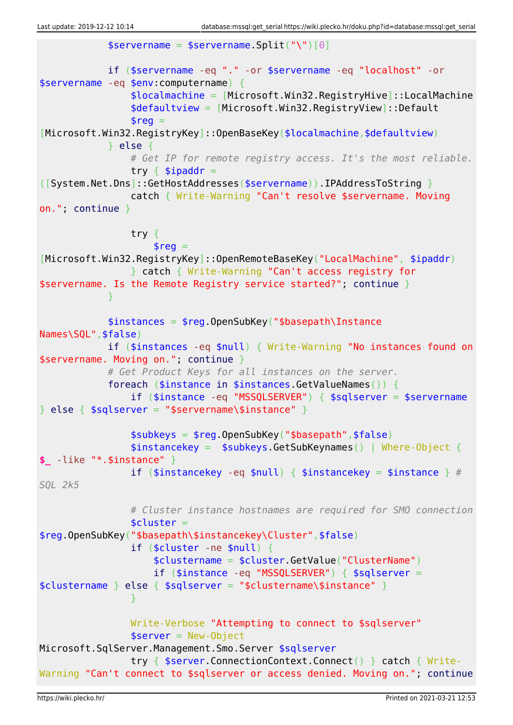```
sservername = sservername. Split("\")[0]
             if ($servername -eq "." -or $servername -eq "localhost" -or
$servername -eq $env:computername) {
                  $localmachine = [Microsoft.Win32.RegistryHive]::LocalMachine
                  $defaultview = [Microsoft.Win32.RegistryView]::Default
                 \frac{1}{2}reg =
[Microsoft.Win32.RegistryKey]::OpenBaseKey($localmachine,$defaultview)
             } else {
                  # Get IP for remote registry access. It's the most reliable.
                 try \{ $ipaddr =
([System.Net.Dns]::GetHostAddresses($servername)).IPAddressToString }
                  catch { Write-Warning "Can't resolve $servername. Moving
on."; continue }
                  try {
                     $req =[Microsoft.Win32.RegistryKey]::OpenRemoteBaseKey("LocalMachine", $ipaddr)
                  } catch { Write-Warning "Can't access registry for
$servername. Is the Remote Registry service started?"; continue }
 }
             $instances = $reg.OpenSubKey("$basepath\Instance
Names\SQL",$false)
             if ($instances -eq $null) { Write-Warning "No instances found on
$servername. Moving on."; continue }
             # Get Product Keys for all instances on the server.
             foreach ($instance in $instances.GetValueNames()) {
                  if ($instance -eq "MSSQLSERVER") { $sqlserver = $servername
\} else { $sqlserver = "$servername\$instance" }
                  $subkeys = $reg.OpenSubKey("$basepath",$false)
                  $instancekey = $subkeys.GetSubKeynames() | Where-Object {
$_ -like "*.$instance" }
                  if ($instancekey -eq $null) { $instancekey = $instance } #
SQL 2k5
                  # Cluster instance hostnames are required for SMO connection
                 $cluster =$reg.OpenSubKey("$basepath\$instancekey\Cluster",$false)
                  if ($cluster -ne $null) {
                      $clustername = $cluster.GetValue("ClusterName")
                      if ($instance -eq "MSSQLSERVER") { $sqlserver =
$clustername } else { $sqlserver = "$clustername\$instance" }
and the state of the state of the state of the state of the state of the state of the state of the state of the
                  Write-Verbose "Attempting to connect to $sqlserver"
                 sserver = New-Object
Microsoft.SqlServer.Management.Smo.Server $sqlserver
                  try { $server.ConnectionContext.Connect() } catch { Write-
Warning "Can't connect to $sqlserver or access denied. Moving on."; continue
```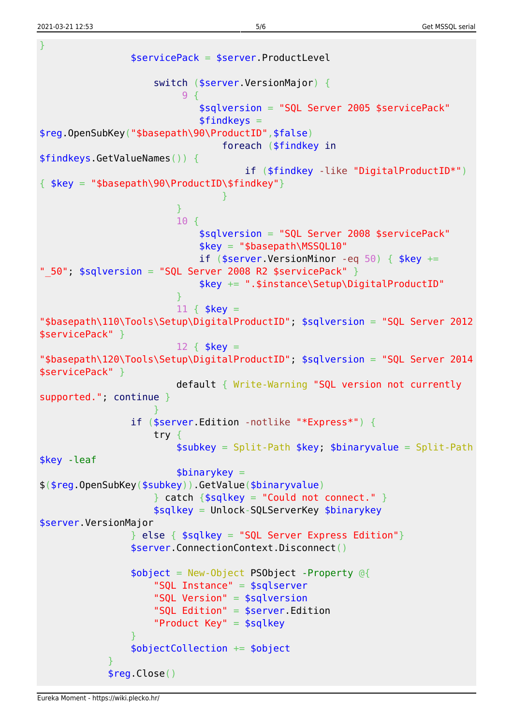2021-03-21 12:53 5/6 Get MSSQL serial

```
}
                     $servicePack = $server.ProductLevel
                          switch ($server.VersionMajor) {
\sim 9 {
                                    $sqlversion = "SQL Server 2005 $servicePack"
                                   $findkeys =$reg.OpenSubKey("$basepath\90\ProductID",$false)
                                        foreach ($findkey in
$findkeys.GetValueNames()) {
                                              if ($findkey -like "DigitalProductID*")
\{ $key = "$basepath\90\ProductID\$findkey"}
denotes the contract of the contract of the contract of the contract of the contract of the contract of the con
denotes the contract of the contract of the second property of the contract of the second property of the second
                              10 {
                                    $sqlversion = "SQL Server 2008 $servicePack"
                                   $key = "$basepath\MSSQL10"
                                   if ($server.VersionMinor -eq 50) { $key +=
" 50"; $sqlversion = "SQL Server 2008 R2 $servicePack" }
                                    $key += ".$instance\Setup\DigitalProductID"
denotes the contract of the contract of the second property of the contract of the second property of the second
                              11 \{ $key =
"$basepath\110\Tools\Setup\DigitalProductID"; $sqlversion = "SQL Server 2012
$servicePack" }
                              12 \{ $key =
"$basepath\120\Tools\Setup\DigitalProductID"; $sqlversion = "SQL Server 2014
$servicePack" }
                               default { Write-Warning "SQL version not currently
supported."; continue }
denotes the control of the state of the state of the state of the state of the state of the state of the state
                     if ($server.Edition -notlike "*Express*") {
                          try {
                               $subkey = Split-Path $key; $binaryvalue = Split-Path
$key -leaf
                               $binarykey =
$($reg.OpenSubKey($subkey)).GetValue($binaryvalue)
                         \} catch \{$sqlkey = "Could not connect." \} $sqlkey = Unlock-SQLServerKey $binarykey
$server.VersionMajor
                    \} else { $sglkey = "SQL Server Express Edition"}
                     $server.ConnectionContext.Disconnect()
                     $object = New-Object PSObject -Property @{
                          "SQL Instance" = $sqlserver
                          "SQL Version" = $sqlversion
                          "SQL Edition" = $server.Edition
                          "Product Key" = $sqlkey
\{x_i\}_{i=1}^n , where \{x_i\}_{i=1}^n $objectCollection += $object
 }
                $reg.Close()
```